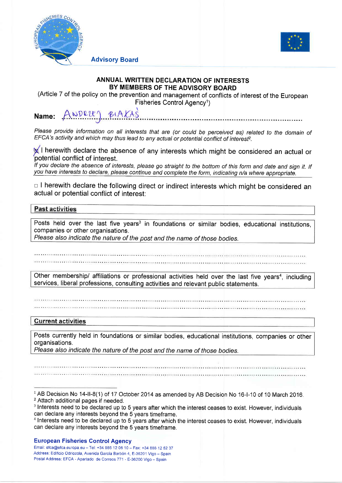



# ANNUAL WRITTEN DECLARATION OF INTERESTS BY MEMBERS OF THE ADVISORY BOARD

(Article 7 of the policy on the prevention and management of conflicts of interest of the European Fisheries Control Agency<sup>1</sup>)

#### ANDRE BIAKAS Name:

Advisory Board

Please provide information on all interests that are (or could be perceived as) related to the domain of EFCA's activity and which may thus lead to any actual or potential conflict of interest<sup>2</sup>.

**M** I herewith declare the absence of any interests which might be considered an actual or potential conflict of interest.

If you declare the absence of interests, please go straight to the bottom of this form and date and sign it. If you have interests to declare, please continue and complete the form, indicating n/a where appropriate.

 $\Box$  I herewith declare the following direct or indirect interests which might be considered an actual or potential conflict of interest:

# **Past activities**

Posts held over the last five years<sup>3</sup> in foundations or similar bodies, educational institutions companies or other organisations.

Please also indicate the nature of the post and the name of those bodies.

Other membership/ affiliations or professional activities held over the last five years<sup>4</sup>, including services, liberal professions, consulting activities and relevant public statements.

# **Current activities**

Posts currently held in foundations or similar bodies, educational institutions, companies or other organisations.

Please also indicate the nature of the post and the name of those bodies.

## European Fisheries Control Agency

Email: efca@efca.europa.eu - Tel: +34 986 12 06 10 - Fax: +34 886 12 52 37 Address: Edificio Odriozola, Avenida García Barbón 4, E-36201 Vigo - Spain Postal Address: EFCA - Apartado de Correos 771 - E-36200 Vigo - Spain

<sup>&</sup>lt;sup>1</sup> AB Decision No 14-II-8(1) of 17 October 2014 as amended by AB Decision No 16-I-10 of 10 March 2016. <sup>2</sup>Attach additional pages if needed.

<sup>&</sup>lt;sup>3</sup> Interests need to be declared up to 5 years after which the interest ceases to exist. However, individuals can declare any interests beyond the 5 years timeframe.

<sup>&</sup>lt;sup>4</sup> Interests need to be declared up to 5 years after which the interest ceases to exist. However, individuals can declare any interests beyond the 5 years timeframe.